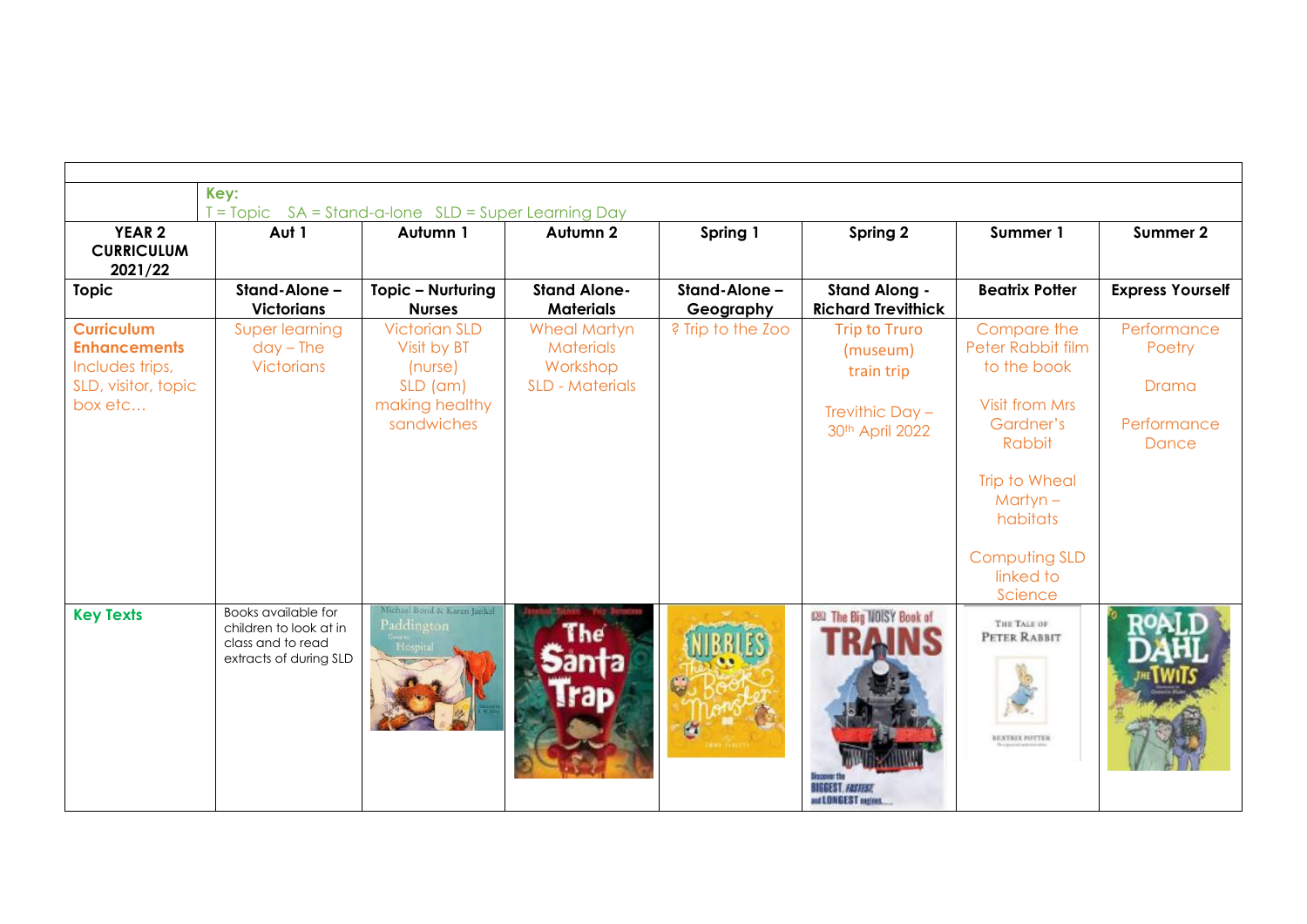|                                                                                               | Key:<br>T = Topic SA = Stand-a-lone SLD = Super Learning Day                                        |                                                                                                  |                                                                               |                            |                                                                                      |                                                                                                                                                                                  |                                                        |  |  |
|-----------------------------------------------------------------------------------------------|-----------------------------------------------------------------------------------------------------|--------------------------------------------------------------------------------------------------|-------------------------------------------------------------------------------|----------------------------|--------------------------------------------------------------------------------------|----------------------------------------------------------------------------------------------------------------------------------------------------------------------------------|--------------------------------------------------------|--|--|
| YEAR <sub>2</sub><br><b>CURRICULUM</b><br>2021/22                                             | Aut 1                                                                                               | Autumn 1                                                                                         | Autumn 2                                                                      | Spring 1                   | Spring 2                                                                             | Summer 1                                                                                                                                                                         | Summer 2                                               |  |  |
| <b>Topic</b>                                                                                  | Stand-Alone -<br><b>Victorians</b>                                                                  | Topic - Nurturing<br><b>Nurses</b>                                                               | <b>Stand Alone-</b><br><b>Materials</b>                                       | Stand-Alone -<br>Geography | <b>Stand Along -</b><br><b>Richard Trevithick</b>                                    | <b>Beatrix Potter</b>                                                                                                                                                            | <b>Express Yourself</b>                                |  |  |
| <b>Curriculum</b><br><b>Enhancements</b><br>Includes trips,<br>SLD, visitor, topic<br>box etc | Super learning<br>$day - The$<br><b>Victorians</b>                                                  | <b>Victorian SLD</b><br>Visit by BT<br>(n(control)<br>$SLD$ (am)<br>making healthy<br>sandwiches | <b>Wheal Martyn</b><br><b>Materials</b><br>Workshop<br><b>SLD - Materials</b> | ? Trip to the Zoo          | <b>Trip to Truro</b><br>(museum)<br>train trip<br>Trevithic Day -<br>30th April 2022 | Compare the<br>Peter Rabbit film<br>to the book<br><b>Visit from Mrs</b><br>Gardner's<br>Rabbit<br>Trip to Wheal<br>$M$ artyn –<br>habitats<br><b>Computing SLD</b><br>linked to | Performance<br>Poetry<br>Drama<br>Performance<br>Dance |  |  |
| <b>Key Texts</b>                                                                              | <b>Books</b> available for<br>children to look at in<br>class and to read<br>extracts of during SLD | Michael Bond & Karen Jankel<br>Paddington<br>Host                                                | anta                                                                          |                            | 020 The Big NOISY Book of<br><b>HAI <i>EUR</i></b><br>and LONGEST maines.            | Science<br>THE TALE OF<br>PETER RABBIT<br><b>BEATRIX POTTER</b>                                                                                                                  |                                                        |  |  |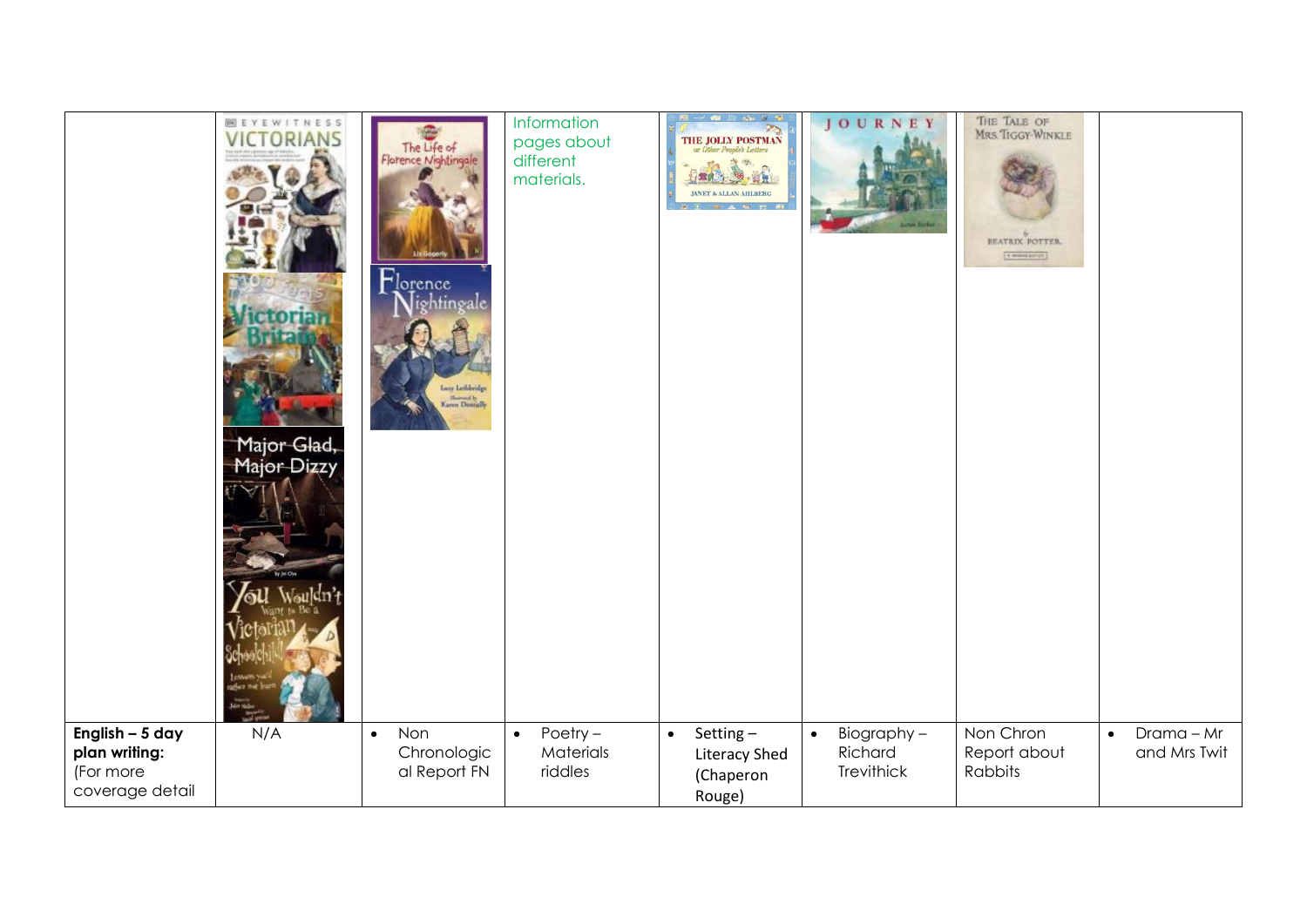| <b>BEYEWITNESS</b><br><b>VICTORIANS</b><br>Major Glad,<br>Major Dizzy<br>oles not k<br><b>Beim Hindis</b><br><b>Contract</b> | The Life of<br>Florence Nightingale<br>Florence<br>Nightingale<br>er Lethbridge<br><b>Humout b</b><br>Garen Donnelly | Information<br>pages about<br>different<br>materials. | THE JOLLY POSTMAN<br>or Other People<br>h Letters<br><b>重度方向 地方</b><br><b>JANET &amp; ALLAN AHLBERG</b> | <b>JOURNEY</b><br>Lower Hards                    | The Tale of<br>Mrs.Tiggy-Winkle<br>BEATRIX POTTER<br>[Thursday] |                                           |
|------------------------------------------------------------------------------------------------------------------------------|----------------------------------------------------------------------------------------------------------------------|-------------------------------------------------------|---------------------------------------------------------------------------------------------------------|--------------------------------------------------|-----------------------------------------------------------------|-------------------------------------------|
| English - 5 day<br>N/A<br>plan writing:<br>(For more<br>coverage detail                                                      | Non<br>$\bullet$<br>Chronologic<br>al Report FN                                                                      | Poetry $-$<br>$\bullet$<br>Materials<br>riddles       | Setting-<br>$\bullet$<br>Literacy Shed<br>(Chaperon<br>Rouge)                                           | Biography-<br>$\bullet$<br>Richard<br>Trevithick | Non Chron<br>Report about<br>Rabbits                            | $Drama - Mr$<br>$\bullet$<br>and Mrs Twit |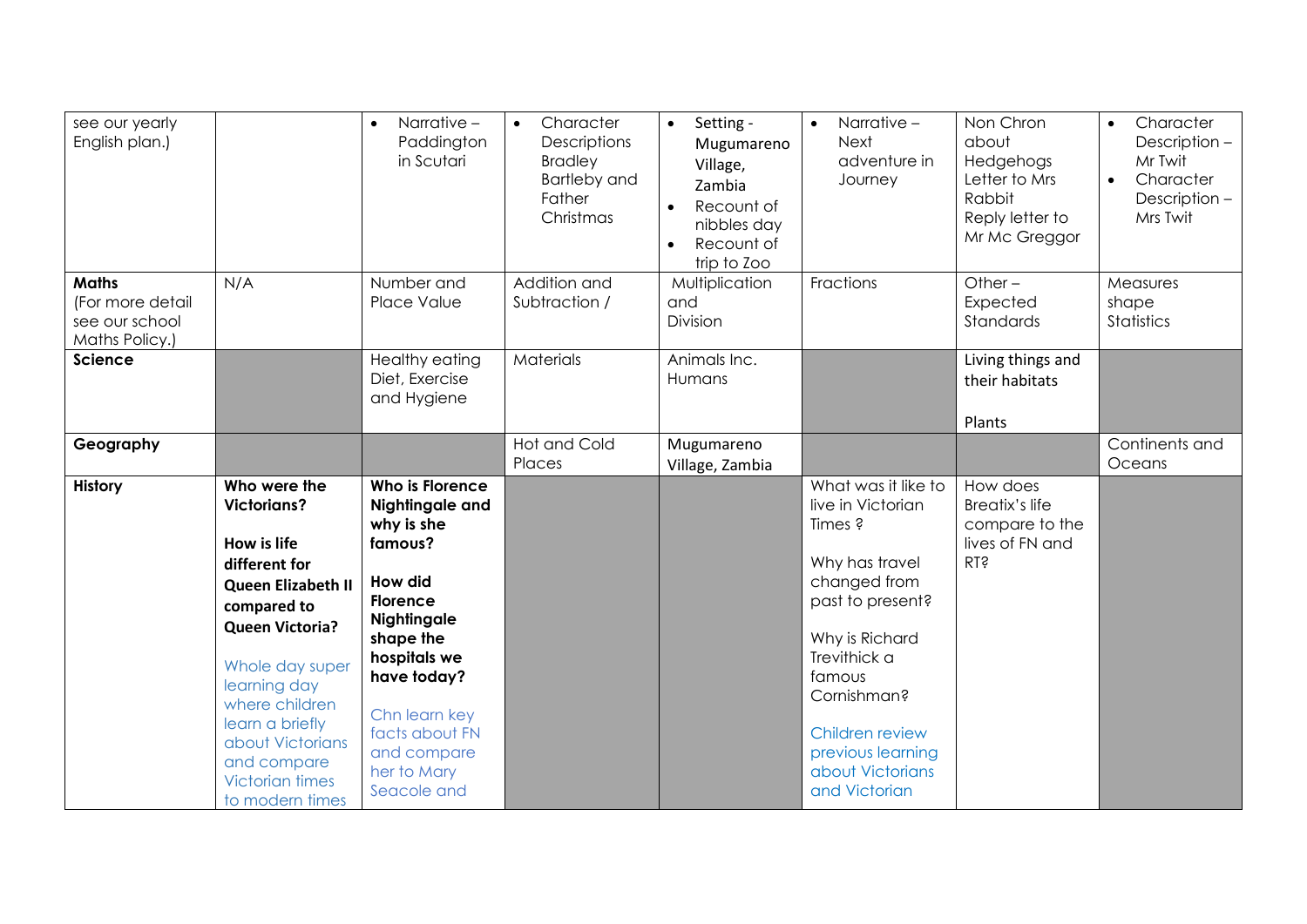| see our yearly<br>English plan.)                                     |                                                                                                                                                                                                                                                                                                  | Narrative -<br>$\bullet$<br>Paddington<br>in Scutari                                                                                                                                                                                        | Character<br>$\bullet$<br>Descriptions<br><b>Bradley</b><br><b>Bartleby and</b><br>Father<br>Christmas | Setting -<br>$\bullet$<br>Mugumareno<br>Village,<br>Zambia<br>Recount of<br>$\bullet$<br>nibbles day<br>Recount of<br>$\bullet$<br>trip to Zoo | Narrative -<br>$\bullet$<br><b>Next</b><br>adventure in<br>Journey                                                                                                                                                                                | Non Chron<br>about<br>Hedgehogs<br>Letter to Mrs<br>Rabbit<br>Reply letter to<br>Mr Mc Greggor | Character<br>$\bullet$<br>Description-<br>Mr Twit<br>Character<br>$\bullet$<br>Description-<br>Mrs Twit |
|----------------------------------------------------------------------|--------------------------------------------------------------------------------------------------------------------------------------------------------------------------------------------------------------------------------------------------------------------------------------------------|---------------------------------------------------------------------------------------------------------------------------------------------------------------------------------------------------------------------------------------------|--------------------------------------------------------------------------------------------------------|------------------------------------------------------------------------------------------------------------------------------------------------|---------------------------------------------------------------------------------------------------------------------------------------------------------------------------------------------------------------------------------------------------|------------------------------------------------------------------------------------------------|---------------------------------------------------------------------------------------------------------|
| <b>Maths</b><br>(For more detail<br>see our school<br>Maths Policy.) | N/A                                                                                                                                                                                                                                                                                              | Number and<br>Place Value                                                                                                                                                                                                                   | Addition and<br>Subtraction /                                                                          | Multiplication<br>and<br>Division                                                                                                              | Fractions                                                                                                                                                                                                                                         | Other $-$<br>Expected<br>Standards                                                             | Measures<br>shape<br>Statistics                                                                         |
| <b>Science</b>                                                       |                                                                                                                                                                                                                                                                                                  | Healthy eating<br>Diet, Exercise<br>and Hygiene                                                                                                                                                                                             | <b>Materials</b>                                                                                       | Animals Inc.<br>Humans                                                                                                                         |                                                                                                                                                                                                                                                   | Living things and<br>their habitats<br>Plants                                                  |                                                                                                         |
| Geography                                                            |                                                                                                                                                                                                                                                                                                  |                                                                                                                                                                                                                                             | <b>Hot and Cold</b><br>Places                                                                          | Mugumareno<br>Village, Zambia                                                                                                                  |                                                                                                                                                                                                                                                   |                                                                                                | Continents and<br>Oceans                                                                                |
| <b>History</b>                                                       | Who were the<br><b>Victorians?</b><br>How is life<br>different for<br><b>Queen Elizabeth II</b><br>compared to<br><b>Queen Victoria?</b><br>Whole day super<br>learning day<br>where children<br>learn a briefly<br>about Victorians<br>and compare<br><b>Victorian times</b><br>to modern times | Who is Florence<br>Nightingale and<br>why is she<br>famous?<br><b>How did</b><br>Florence<br><b>Nightingale</b><br>shape the<br>hospitals we<br>have today?<br>Chn learn key<br>facts about FN<br>and compare<br>her to Mary<br>Seacole and |                                                                                                        |                                                                                                                                                | What was it like to<br>live in Victorian<br>Times ?<br>Why has travel<br>changed from<br>past to present?<br>Why is Richard<br>Trevithick a<br>famous<br>Cornishman?<br>Children review<br>previous learning<br>about Victorians<br>and Victorian | How does<br><b>Breatix's life</b><br>compare to the<br>lives of FN and<br><b>KLS</b>           |                                                                                                         |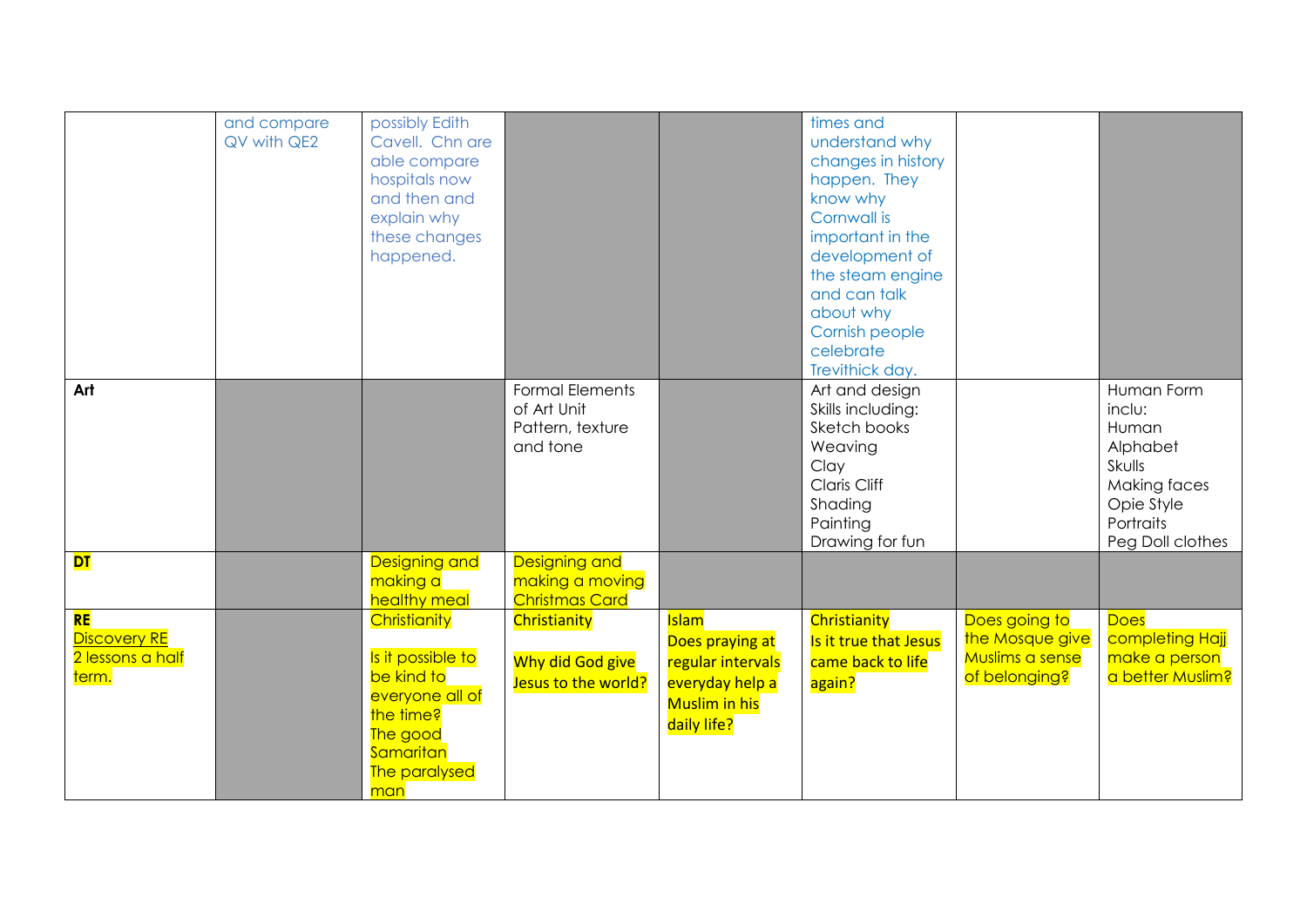|                                                               | and compare<br>QV with QE2 | possibly Edith<br>Cavell. Chn are<br>able compare<br>hospitals now<br>and then and<br>explain why<br>these changes<br>happened.  |                                                                       |                                                                                                                | times and<br>understand why<br>changes in history<br>happen. They<br>know why<br>Cornwall is<br>important in the<br>development of<br>the steam engine<br>and can talk |                                                                      |                                                                                                                    |
|---------------------------------------------------------------|----------------------------|----------------------------------------------------------------------------------------------------------------------------------|-----------------------------------------------------------------------|----------------------------------------------------------------------------------------------------------------|------------------------------------------------------------------------------------------------------------------------------------------------------------------------|----------------------------------------------------------------------|--------------------------------------------------------------------------------------------------------------------|
|                                                               |                            |                                                                                                                                  |                                                                       |                                                                                                                | about why<br>Cornish people<br>celebrate<br>Trevithick day.                                                                                                            |                                                                      |                                                                                                                    |
| Art                                                           |                            |                                                                                                                                  | <b>Formal Elements</b><br>of Art Unit<br>Pattern, texture<br>and tone |                                                                                                                | Art and design<br>Skills including:<br>Sketch books<br>Weaving<br>Clay<br>Claris Cliff<br>Shading<br>Painting<br>Drawing for fun                                       |                                                                      | Human Form<br>inclu:<br>Human<br>Alphabet<br>Skulls<br>Making faces<br>Opie Style<br>Portraits<br>Peg Doll clothes |
| <b>DT</b>                                                     |                            | <b>Designing and</b><br>making a<br>healthy meal                                                                                 | <b>Designing and</b><br>making a moving<br><b>Christmas Card</b>      |                                                                                                                |                                                                                                                                                                        |                                                                      |                                                                                                                    |
| <b>RE</b><br><b>Discovery RE</b><br>2 lessons a half<br>term. |                            | Christianity<br>Is it possible to<br>be kind to<br>everyone all of<br>the time?<br>The good<br>Samaritan<br>The paralysed<br>man | Christianity<br>Why did God give<br>Jesus to the world?               | <b>Islam</b><br>Does praying at<br>regular intervals<br>everyday help a<br><b>Muslim in his</b><br>daily life? | Christianity<br>Is it true that Jesus<br>came back to life<br>again?                                                                                                   | Does going to<br>the Mosque give<br>Muslims a sense<br>of belonging? | <b>Does</b><br>completing Hajj<br>make a person<br>a better Muslim?                                                |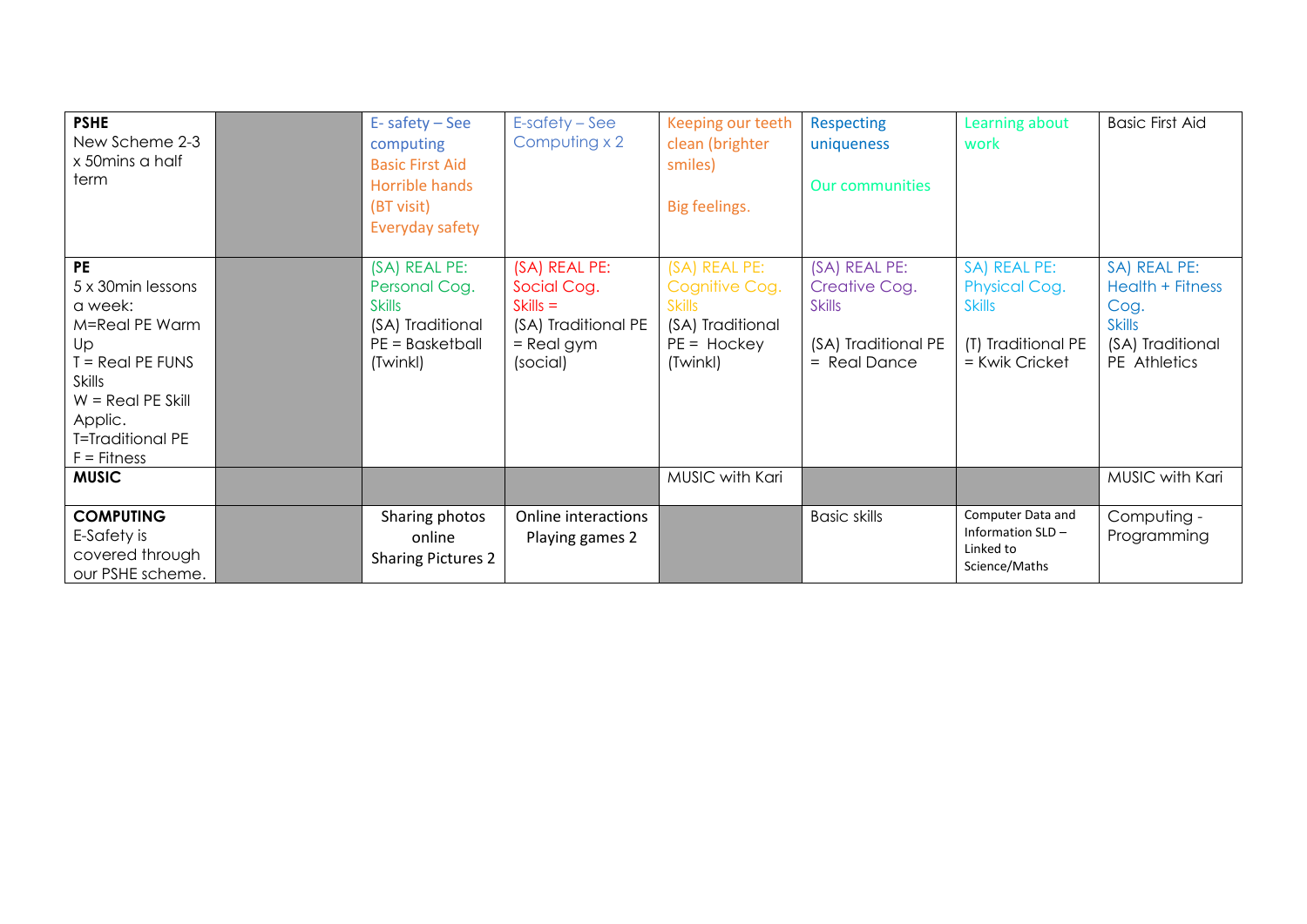| <b>PSHE</b><br>New Scheme 2-3<br>x 50 mins a half<br>term                                                                                                                             | E-safety-See<br>computing<br><b>Basic First Aid</b><br>Horrible hands<br>(BT visit)                                     | $E$ -safety – See<br>Computing x 2                                                            | Keeping our teeth<br>clean (brighter<br>smiles)<br>Big feelings.                                  | <b>Respecting</b><br>uniqueness<br><b>Our communities</b>                                | Learning about<br>work                                                                        | <b>Basic First Aid</b>                                                                        |
|---------------------------------------------------------------------------------------------------------------------------------------------------------------------------------------|-------------------------------------------------------------------------------------------------------------------------|-----------------------------------------------------------------------------------------------|---------------------------------------------------------------------------------------------------|------------------------------------------------------------------------------------------|-----------------------------------------------------------------------------------------------|-----------------------------------------------------------------------------------------------|
| <b>PE</b><br>5 x 30 min lessons<br>a week:<br>M=Real PE Warm<br>Up<br>$=$ Real PE FUNS<br><b>Skills</b><br>$W = Real PE$ Skill<br>Applic.<br><b>T=Traditional PE</b><br>$F =$ Fitness | Everyday safety<br>(SA) REAL PE:<br>Personal Cog.<br><b>Skills</b><br>(SA) Traditional<br>$PE = Basketball$<br>(Twinkl) | (SA) REAL PE:<br>Social Cog.<br>$Skills =$<br>(SA) Traditional PE<br>$=$ Real gym<br>(social) | (SA) REAL PE:<br>Cognitive Cog.<br><b>Skills</b><br>(SA) Traditional<br>$PE = Hockey$<br>(Twinkl) | (SA) REAL PE:<br>Creative Cog.<br><b>Skills</b><br>(SA) Traditional PE<br>$=$ Real Dance | SA) REAL PE:<br><b>Physical Cog.</b><br><b>Skills</b><br>(T) Traditional PE<br>= Kwik Cricket | SA) REAL PE:<br>Health + Fitness<br>Cog.<br><b>Skills</b><br>(SA) Traditional<br>PE Athletics |
| <b>MUSIC</b>                                                                                                                                                                          |                                                                                                                         |                                                                                               | MUSIC with Kari                                                                                   |                                                                                          |                                                                                               | MUSIC with Kari                                                                               |
| <b>COMPUTING</b><br>E-Safety is<br>covered through<br>our PSHE scheme.                                                                                                                | Sharing photos<br>online<br><b>Sharing Pictures 2</b>                                                                   | Online interactions<br>Playing games 2                                                        |                                                                                                   | <b>Basic skills</b>                                                                      | Computer Data and<br>Information SLD-<br>Linked to<br>Science/Maths                           | Computing -<br>Programming                                                                    |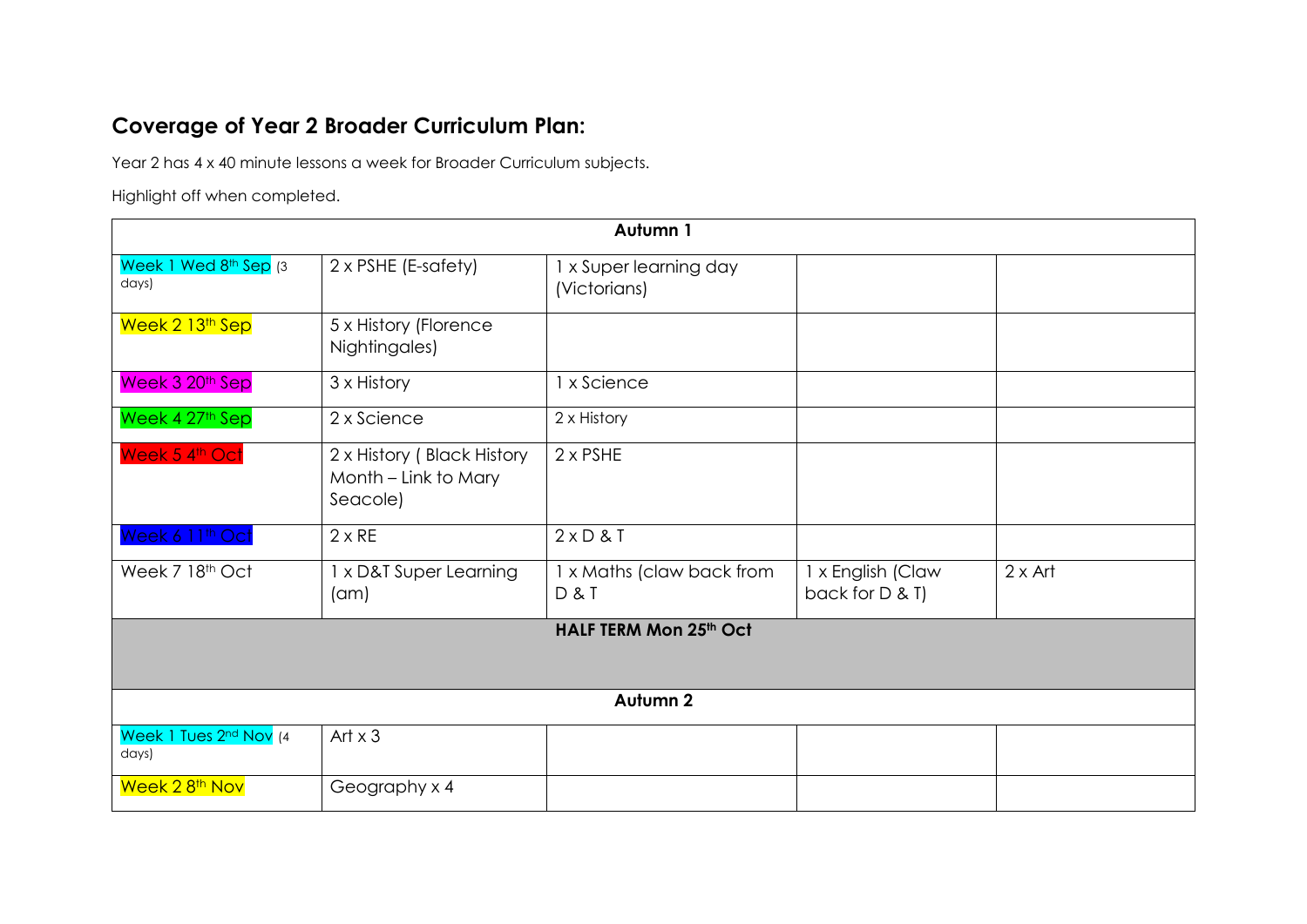## **Coverage of Year 2 Broader Curriculum Plan:**

Year 2 has 4 x 40 minute lessons a week for Broader Curriculum subjects.

Highlight off when completed.

| Autumn 1                                  |                                                                |                                        |                                      |                |  |  |
|-------------------------------------------|----------------------------------------------------------------|----------------------------------------|--------------------------------------|----------------|--|--|
| Week 1 Wed 8th Sep (3<br>days)            | 2 x PSHE (E-safety)                                            | 1 x Super learning day<br>(Victorians) |                                      |                |  |  |
| Week 2 13th Sep                           | 5 x History (Florence<br>Nightingales)                         |                                        |                                      |                |  |  |
| Week 3 20th Sep                           | 3 x History                                                    | 1 x Science                            |                                      |                |  |  |
| Week 4 27th Sep                           | 2 x Science                                                    | 2 x History                            |                                      |                |  |  |
| Week 5 4th Oct                            | 2 x History (Black History<br>Month - Link to Mary<br>Seacole) | $2 \times PSHE$                        |                                      |                |  |  |
| Week 6 11th Oct                           | $2 \times RE$                                                  | $2 \times D 8$ T                       |                                      |                |  |  |
| Week 7 18th Oct                           | 1 x D&T Super Learning<br>(am)                                 | 1 x Maths (claw back from<br>D & T     | 1 x English (Claw<br>back for D & T) | $2 \times$ Art |  |  |
| HALF TERM Mon 25th Oct                    |                                                                |                                        |                                      |                |  |  |
| Autumn 2                                  |                                                                |                                        |                                      |                |  |  |
| Week 1 Tues 2nd Nov (4<br>$\frac{days}{}$ | Art $x$ 3                                                      |                                        |                                      |                |  |  |
| Week 2 8 <sup>th</sup> Nov                | Geography x 4                                                  |                                        |                                      |                |  |  |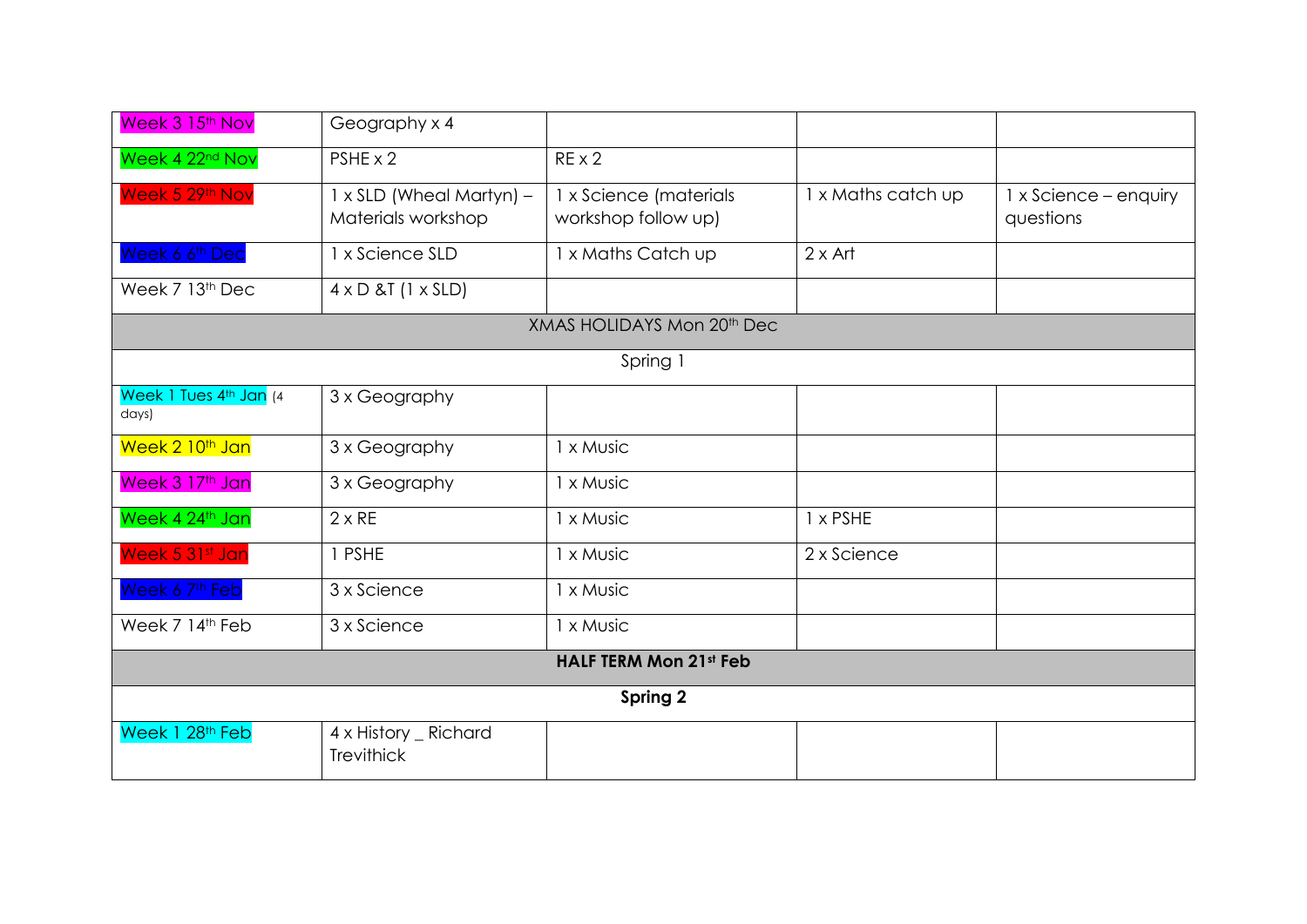| Week 3 15 <sup>th</sup> Nov     | Geography x 4                                  |                                               |                    |                                    |  |  |
|---------------------------------|------------------------------------------------|-----------------------------------------------|--------------------|------------------------------------|--|--|
| Week 4 22 <sup>nd</sup> Nov     | PSHE x 2                                       | $RE \times 2$                                 |                    |                                    |  |  |
| Week 5 29th Nov                 | 1 x SLD (Wheal Martyn) -<br>Materials workshop | 1 x Science (materials<br>workshop follow up) | 1 x Maths catch up | 1 x Science - enquiry<br>questions |  |  |
| Week 6 6 <sup>th</sup> Dec      | 1 x Science SLD                                | 1 x Maths Catch up                            | $2 \times$ Art     |                                    |  |  |
| Week 7 13th Dec                 | $4 \times D 8T$ (1 $\times$ SLD)               |                                               |                    |                                    |  |  |
|                                 |                                                | XMAS HOLIDAYS Mon 20th Dec                    |                    |                                    |  |  |
|                                 |                                                | Spring 1                                      |                    |                                    |  |  |
| Week 1 Tues 4th Jan (4<br>days) | 3 x Geography                                  |                                               |                    |                                    |  |  |
| Week 2 10 <sup>th</sup> Jan     | 3 x Geography                                  | 1 x Music                                     |                    |                                    |  |  |
| Week 3 17th Jan                 | 3 x Geography                                  | 1 x Music                                     |                    |                                    |  |  |
| Week 4 24th Jan                 | $2 \times RE$                                  | 1 x Music                                     | 1 x PSHE           |                                    |  |  |
| Week 5 31st Jan                 | 1 PSHE                                         | 1 x Music                                     | 2 x Science        |                                    |  |  |
| Week 6 7 <sup>th</sup> Feb      | 3 x Science                                    | 1 x Music                                     |                    |                                    |  |  |
| Week 7 14th Feb                 | 3 x Science                                    | 1 x Music                                     |                    |                                    |  |  |
| <b>HALF TERM Mon 21st Feb</b>   |                                                |                                               |                    |                                    |  |  |
| Spring 2                        |                                                |                                               |                    |                                    |  |  |
| Week 1 28th Feb                 | 4 x History _ Richard<br><b>Trevithick</b>     |                                               |                    |                                    |  |  |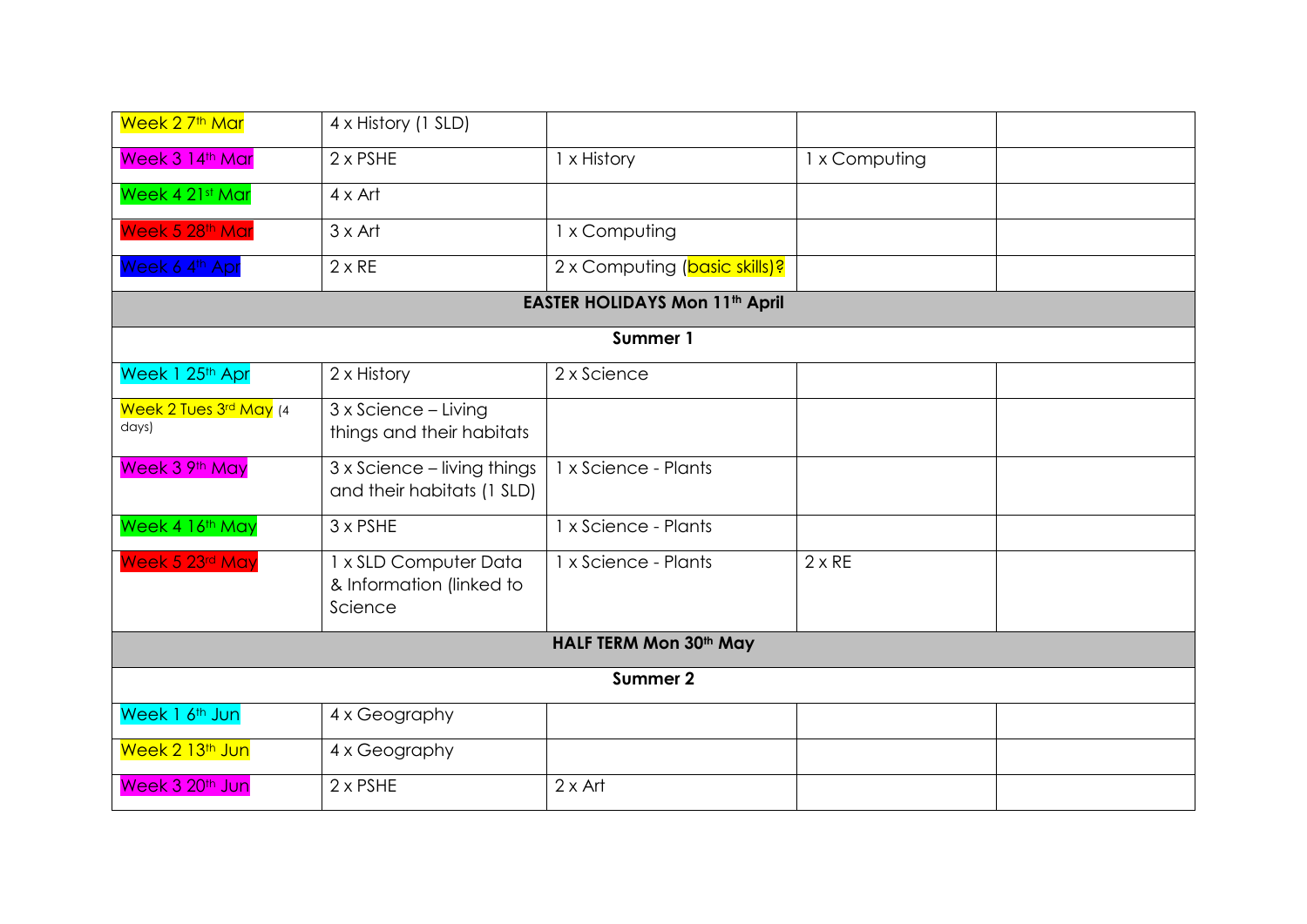| Week 2 7 <sup>th</sup> Mar      | 4 x History (1 SLD)                                          |                                       |               |  |  |  |
|---------------------------------|--------------------------------------------------------------|---------------------------------------|---------------|--|--|--|
| Week 3 14th Mar                 | $2 \times PSHE$                                              | 1 x History                           | 1 x Computing |  |  |  |
| Week 4 21st Mar                 | $4 \times$ Art                                               |                                       |               |  |  |  |
| Week 5 28th Mar                 | $3 \times$ Art                                               | 1 x Computing                         |               |  |  |  |
| Week 6 4th Apr                  | $2 \times RE$                                                | 2 x Computing (basic skills)?         |               |  |  |  |
|                                 |                                                              | <b>EASTER HOLIDAYS Mon 11th April</b> |               |  |  |  |
|                                 |                                                              | Summer 1                              |               |  |  |  |
| Week 1 25th Apr                 | 2 x History                                                  | 2 x Science                           |               |  |  |  |
| Week 2 Tues 3rd May (4<br>days) | 3 x Science - Living<br>things and their habitats            |                                       |               |  |  |  |
| Week 3 9th May                  | 3 x Science - living things<br>and their habitats (1 SLD)    | 1 x Science - Plants                  |               |  |  |  |
| Week 4 16th May                 | $3 \times PSHE$                                              | 1 x Science - Plants                  |               |  |  |  |
| Week 5 23rd May                 | 1 x SLD Computer Data<br>& Information (linked to<br>Science | 1 x Science - Plants                  | $2 \times RE$ |  |  |  |
| <b>HALF TERM Mon 30th May</b>   |                                                              |                                       |               |  |  |  |
|                                 |                                                              | Summer 2                              |               |  |  |  |
| Week 1 6 <sup>th</sup> Jun      | 4 x Geography                                                |                                       |               |  |  |  |
| Week 2 13 <sup>th</sup> Jun     | 4 x Geography                                                |                                       |               |  |  |  |
| Week 3 20 <sup>th</sup> Jun     | $2 \times PSHE$                                              | $2 \times$ Art                        |               |  |  |  |